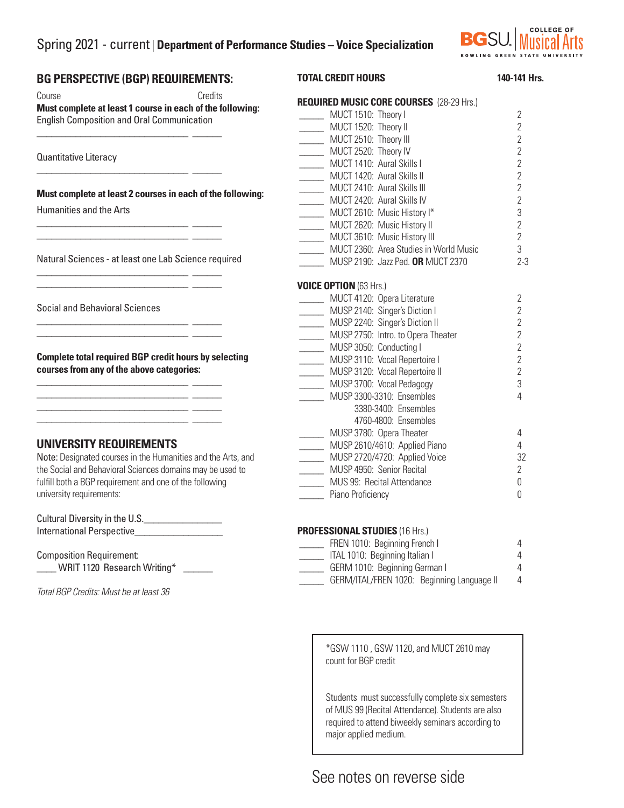# Spring 2021 - current | **Department of Performance Studies – Voice Specialization**



#### **BG PERSPECTIVE (BGP) REQUIREMENTS:**  Course Credits **Must complete at least 1 course in each of the following:**  English Composition and Oral Communication \_\_\_\_\_\_\_\_\_\_\_\_\_\_\_\_\_\_\_\_\_\_\_\_\_\_\_\_\_\_\_ \_\_\_\_\_\_ Quantitative Literacy \_\_\_\_\_\_\_\_\_\_\_\_\_\_\_\_\_\_\_\_\_\_\_\_\_\_\_\_\_\_\_ \_\_\_\_\_\_ **Must complete at least 2 courses in each of the following:** Humanities and the Arts \_\_\_\_\_\_\_\_\_\_\_\_\_\_\_\_\_\_\_\_\_\_\_\_\_\_\_\_\_\_\_ \_\_\_\_\_\_ \_\_\_\_\_\_\_\_\_\_\_\_\_\_\_\_\_\_\_\_\_\_\_\_\_\_\_\_\_\_\_ \_\_\_\_\_\_ Natural Sciences - at least one Lab Science required \_\_\_\_\_\_\_\_\_\_\_\_\_\_\_\_\_\_\_\_\_\_\_\_\_\_\_\_\_\_\_ \_\_\_\_\_\_ \_\_\_\_\_\_\_\_\_\_\_\_\_\_\_\_\_\_\_\_\_\_\_\_\_\_\_\_\_\_\_ \_\_\_\_\_\_ Social and Behavioral Sciences \_\_\_\_\_\_\_\_\_\_\_\_\_\_\_\_\_\_\_\_\_\_\_\_\_\_\_\_\_\_\_ \_\_\_\_\_\_  $\frac{1}{\sqrt{2}}$  ,  $\frac{1}{\sqrt{2}}$  ,  $\frac{1}{\sqrt{2}}$  ,  $\frac{1}{\sqrt{2}}$  ,  $\frac{1}{\sqrt{2}}$  ,  $\frac{1}{\sqrt{2}}$  ,  $\frac{1}{\sqrt{2}}$  ,  $\frac{1}{\sqrt{2}}$  ,  $\frac{1}{\sqrt{2}}$  ,  $\frac{1}{\sqrt{2}}$  ,  $\frac{1}{\sqrt{2}}$  ,  $\frac{1}{\sqrt{2}}$  ,  $\frac{1}{\sqrt{2}}$  ,  $\frac{1}{\sqrt{2}}$  ,  $\frac{1}{\sqrt{2}}$ **Complete total required BGP credit hours by selecting courses from any of the above categories:** \_\_\_\_\_\_\_\_\_\_\_\_\_\_\_\_\_\_\_\_\_\_\_\_\_\_\_\_\_\_\_ \_\_\_\_\_\_ \_\_\_\_\_\_\_\_\_\_\_\_\_\_\_\_\_\_\_\_\_\_\_\_\_\_\_\_\_\_\_ \_\_\_\_\_\_ \_\_\_\_\_\_\_\_\_\_\_\_\_\_\_\_\_\_\_\_\_\_\_\_\_\_\_\_\_\_\_ \_\_\_\_\_\_ \_\_\_\_\_\_\_\_\_\_\_\_\_\_\_\_\_\_\_\_\_\_\_\_\_\_\_\_\_\_\_ \_\_\_\_\_\_ **UNIVERSITY REQUIREMENTS**  Note: Designated courses in the Humanities and the Arts, and the Social and Behavioral Sciences domains may be used to fulfill both a BGP requirement and one of the following university requirements: Cultural Diversity in the U.S. **TOTAL CREDIT HOURS** 140-141 Hrs. **REQUIRED MUSIC CORE COURSES** (28-29 Hrs.) \_\_\_\_\_ MUCT 1510: Theory I 2 \_\_\_\_\_ MUCT 1520: Theory II 2 \_\_\_\_\_ MUCT 2510: Theory III 2 \_\_\_\_\_ MUCT 2520: Theory IV 2 \_\_\_\_\_ MUCT 1410: Aural Skills I 2 \_\_\_\_\_ MUCT 1420: Aural Skills II 2 \_\_\_\_\_ MUCT 2410: Aural Skills III 2 \_\_\_\_\_ MUCT 2420: Aural Skills IV 2 \_\_\_\_\_ MUCT 2610: Music History I\* 3 \_\_\_\_\_ MUCT 2620: Music History II 2 MUCT 3610: Music History III 2 \_\_\_\_\_ MUCT 2360: Area Studies in World Music 3 \_\_\_\_\_ MUSP 2190: Jazz Ped. **OR** MUCT 2370 2-3 **VOICE OPTION** (63 Hrs.) \_\_\_\_\_ MUCT 4120: Opera Literature 2 \_\_\_\_\_ MUSP 2140: Singer's Diction I 2 \_\_\_\_\_ MUSP 2240: Singer's Diction II 2 \_\_\_\_\_ MUSP 2750: Intro. to Opera Theater 2 \_\_\_\_\_ MUSP 3050: Conducting I 2 \_\_\_\_\_ MUSP 3110: Vocal Repertoire I 2 \_\_\_\_\_ MUSP 3120: Vocal Repertoire II 2 \_\_\_\_\_ MUSP 3700: Vocal Pedagogy 3 \_\_\_\_\_ MUSP 3300-3310: Ensembles 4 3380-3400: Ensembles 4760-4800: Ensembles \_\_\_\_\_ MUSP 3780: Opera Theater 4 \_\_\_\_\_ MUSP 2610/4610: Applied Piano 4 \_\_\_\_\_ MUSP 2720/4720: Applied Voice 32 \_\_\_\_\_ MUSP 4950: Senior Recital 2 \_\_\_\_\_ MUS 99: Recital Attendance 0 \_\_\_\_\_ Piano Proficiency 0

International Perspective

 $\_$  WRIT 1120 Research Writing\*

Composition Requirement:

*Total BGP Credits: Must be at least 36*

#### **PROFESSIONAL STUDIES** (16 Hrs.)

| FREN 1010: Beginning French I              |  |   |
|--------------------------------------------|--|---|
| ITAL 1010: Beginning Italian I             |  |   |
| GERM 1010: Beginning German I              |  |   |
| GERM/ITAL/FREN 1020: Beginning Language II |  | 4 |

\*GSW 1110 , GSW 1120, and MUCT 2610 may count for BGP credit

Students must successfully complete six semesters of MUS 99 (Recital Attendance). Students are also required to attend biweekly seminars according to major applied medium.

# See notes on reverse side